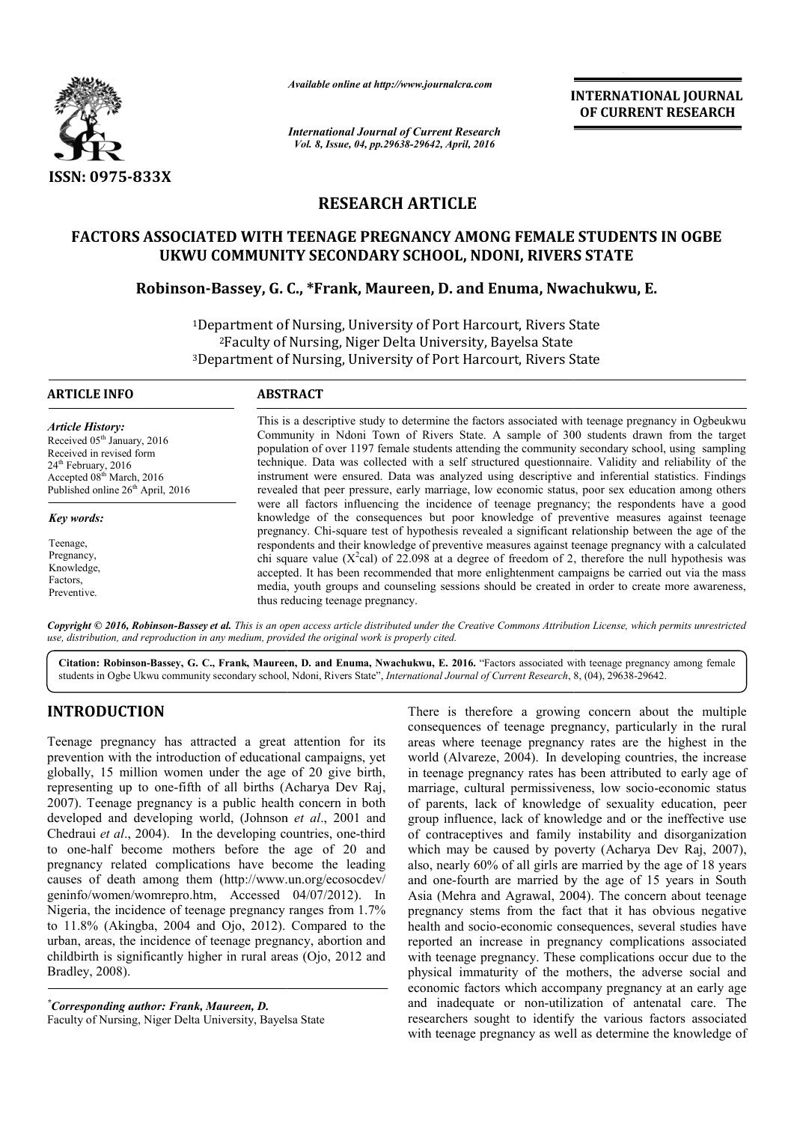

*Available online at http://www.journalcra.com*

*International Journal of Current Research Vol. 8, Issue, 04, pp.29638-29642, April, 2016*

**INTERNATIONAL JOURNAL OF CURRENT RESEARCH** 

# **RESEARCH ARTICLE**

# FACTORS ASSOCIATED WITH TEENAGE PREGNANCY AMONG FEMALE STUDENTS IN OGBE<br>UKWU COMMUNITY SECONDARY SCHOOL, NDONI, RIVERS STATE<br>Robinson-Bassey, G. C., \*Frank, Maureen, D. and Enuma, Nwachukwu, E. **UKWU COMMUNITY SECONDARY SCHOOL, NDONI, RIVERS STATE**

# **Robinson-Bassey, G. C C., \*Frank, Maureen, D. and Enuma, Nwachukwu, E.**

<sup>1</sup>Department of Nursing, University of Port Harcourt, Rivers State 2Faculty of Nursing, Niger Delta University, Bayelsa State 3Department of Nursing, University of Port Harcourt, Rivers State <sup>2</sup>Faculty of Nursing, Niger De<br>Department of Nursing, Universi<br>——————————————————— of Nursing, University of Port Harcourt, Rivers Stat

| ARTICLE INFO                                                                                                                                                                                                                                                                                       | <b>ABSTRACT</b>                                                                                                                                                                                                                                                                                                                                                                                                                                                                                                                                                                                                                                                                                                                                           |  |  |
|----------------------------------------------------------------------------------------------------------------------------------------------------------------------------------------------------------------------------------------------------------------------------------------------------|-----------------------------------------------------------------------------------------------------------------------------------------------------------------------------------------------------------------------------------------------------------------------------------------------------------------------------------------------------------------------------------------------------------------------------------------------------------------------------------------------------------------------------------------------------------------------------------------------------------------------------------------------------------------------------------------------------------------------------------------------------------|--|--|
| <b>Article History:</b><br>Received 05 <sup>th</sup> January, 2016<br>Received in revised form<br>$24th$ February, 2016<br>Accepted 08 <sup>th</sup> March, 2016<br>Published online 26 <sup>th</sup> April, 2016<br>Key words:<br>Teenage,<br>Pregnancy,<br>Knowledge,<br>Factors.<br>Preventive. | This is a descriptive study to determine the factors associated with teenage pregnancy in Ogbeukwu<br>Community in Ndoni Town of Rivers State. A sample of 300 students drawn from the target<br>population of over 1197 female students attending the community secondary school, using sampling<br>technique. Data was collected with a self structured questionnaire. Validity and reliability of the<br>instrument were ensured. Data was analyzed using descriptive and inferential statistics. Findings<br>revealed that peer pressure, early marriage, low economic status, poor sex education among others                                                                                                                                        |  |  |
|                                                                                                                                                                                                                                                                                                    | were all factors influencing the incidence of teenage pregnancy; the respondents have a good<br>knowledge of the consequences but poor knowledge of preventive measures against teenage<br>pregnancy. Chi-square test of hypothesis revealed a significant relationship between the age of the<br>respondents and their knowledge of preventive measures against teenage pregnancy with a calculated<br>chi square value ( $X^2$ cal) of 22.098 at a degree of freedom of 2, therefore the null hypothesis was<br>accepted. It has been recommended that more enlightenment campaigns be carried out via the mass<br>media, youth groups and counseling sessions should be created in order to create more awareness,<br>thus reducing teenage pregnancy. |  |  |

Copyright © 2016, Robinson-Bassey et al. This is an open access article distributed under the Creative Commons Attribution License, which permits unrestrictea *use, distribution, and reproduction in any medium, provided the original work is properly cited.*

Citation: Robinson-Bassey, G. C., Frank, Maureen, D. and Enuma, Nwachukwu, E. 2016. "Factors associated with teenage pregnancy among female students in Ogbe Ukwu community secondary school, Ndoni, Rivers State", *Internati* students in Ogbe Ukwu community secondary school, Ndoni, Rivers State", *International Journal of Current Research*, 8, (04),

# **INTRODUCTION**

Teenage pregnancy has attracted a great attention for its prevention with the introduction of educational campaigns, yet globally, 15 million women under the age of 20 give birth, representing up to one-fifth of all births (Acharya Dev Raj, 2007). Teenage pregnancy is a public health concern in both 2007). Teenage pregnancy is a public health concern in both developed and developing world, (Johnson *et al.*, 2001 and Chedraui et al., 2004). In the developing countries, one-third to one-half become mothers before the age of 20 and pregnancy related complications have become the leading causes of death among them (http://www.un.org/ecosocdev/ geninfo/women/womrepro.htm, Accessed 04/07/2012 Nigeria, the incidence of teenage pregnancy ranges from 1.7% to  $11.8\%$  (Akingba,  $2004$  and Ojo,  $2012$ ). Compared to the urban, areas, the incidence of teenage pregnancy, abortion and childbirth is significantly higher in rural areas (Ojo, 2012 and Bradley, 2008). half become mothers before the age of 20 and<br>cy related complications have become the leading<br>of death among them (http://www.un.org/ecosocdev/<br>'women/womrepro.htm, Accessed 04/07/2012). In

*\* Corresponding author: Frank, Maureen, D.* Faculty of Nursing, Niger Delta University, Bayelsa State There is therefore a growing concern about the multiple consequences of teenage pregnancy, particularly in the rural There is therefore a growing concern about the multiple consequences of teenage pregnancy, particularly in the rural areas where teenage pregnancy rates are the highest in the world (Alvareze, 2004). In developing countries, the increase in teenage pregnancy rates has been attributed to early age of in teenage pregnancy rates has been attributed to early age of marriage, cultural permissiveness, low socio-economic status of parents, lack of knowledge of sexuality education, peer group influence, lack of knowledge and or the ineffective use group influence, lack of knowledge and or the ineffective use<br>of contraceptives and family instability and disorganization which may be caused by poverty (Acharya Dev Raj, 2007), also, nearly 60% of all girls are married by the age of 18 years and one-fourth are married by the age of 15 years in South also, nearly 60% of all girls are married by the age of 18 years<br>and one-fourth are married by the age of 15 years in South<br>Asia (Mehra and Agrawal, 2004). The concern about teenage pregnancy stems from the fact that it has obvious negative health and socio-economic consequences, several studies have reported an increase in pregnancy complications associated with teenage pregnancy. These complications occur due to the physical immaturity of the mothers, the adverse social and economic factors which accompany pregnancy at an early age and inadequate or non-utilization of antenatal care. The researchers sought to identify the various factors associated with teenage pregnancy as well as determine the knowledge of stems from the fact that it has obvious negative<br>socio-economic consequences, several studies have<br>a increase in pregnancy complications associated<br>ge pregnancy. These complications occur due to the<br>maturity of the mothers **INTERNATIONAL JOURNAL CONFIGURATION CONFIGURATION CONFIGURATION CONFIGURED TO CONFIGURE CONFIGURED (DETERNATION AND ONE CURRENT RESEARCH APPL 2016 (AND CONFIGURED TO THE CONFIGURED CONFIGURED (SCIENCIST) AND CONFIGURED (S**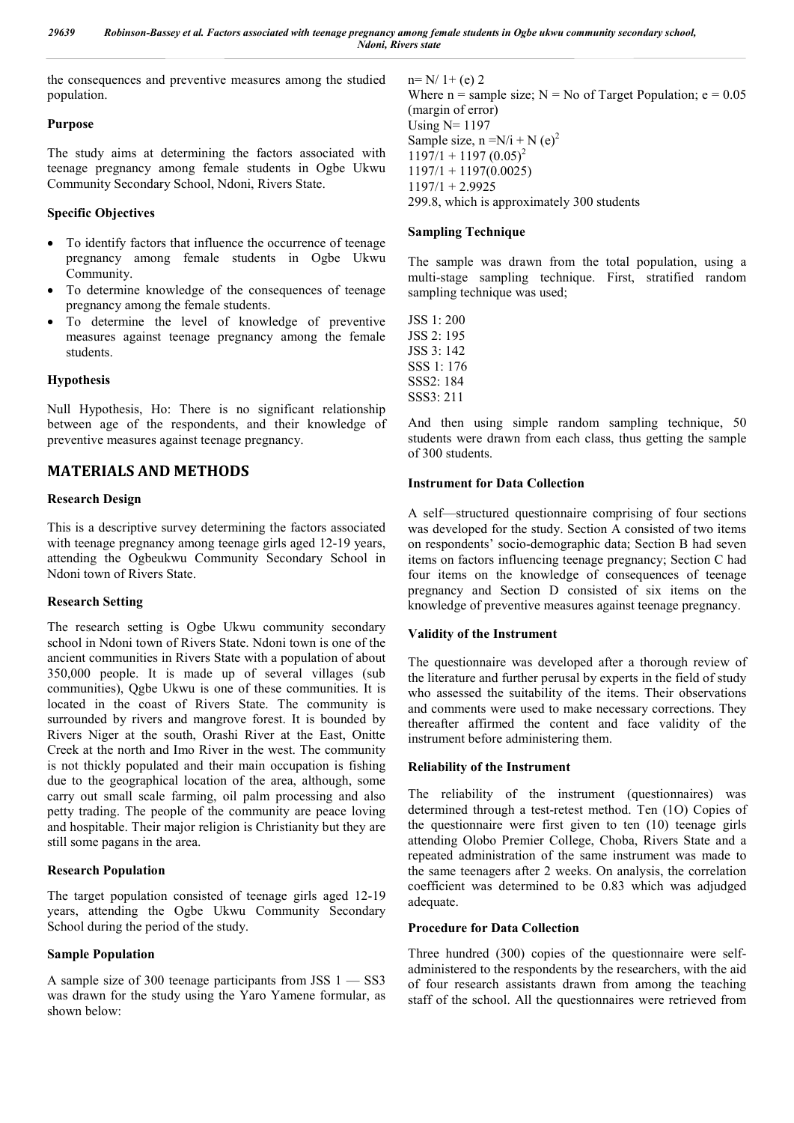the consequences and preventive measures among the studied population.

#### **Purpose**

The study aims at determining the factors associated with teenage pregnancy among female students in Ogbe Ukwu Community Secondary School, Ndoni, Rivers State.

# **Specific Objectives**

- To identify factors that influence the occurrence of teenage pregnancy among female students in Ogbe Ukwu Community.
- To determine knowledge of the consequences of teenage pregnancy among the female students.
- To determine the level of knowledge of preventive measures against teenage pregnancy among the female students.

## **Hypothesis**

Null Hypothesis, Ho: There is no significant relationship between age of the respondents, and their knowledge of preventive measures against teenage pregnancy.

# **MATERIALS AND METHODS**

## **Research Design**

This is a descriptive survey determining the factors associated with teenage pregnancy among teenage girls aged 12-19 years, attending the Ogbeukwu Community Secondary School in Ndoni town of Rivers State.

#### **Research Setting**

The research setting is Ogbe Ukwu community secondary school in Ndoni town of Rivers State. Ndoni town is one of the ancient communities in Rivers State with a population of about 350,000 people. It is made up of several villages (sub communities), Qgbe Ukwu is one of these communities. It is located in the coast of Rivers State. The community is surrounded by rivers and mangrove forest. It is bounded by Rivers Niger at the south, Orashi River at the East, Onitte Creek at the north and Imo River in the west. The community is not thickly populated and their main occupation is fishing due to the geographical location of the area, although, some carry out small scale farming, oil palm processing and also petty trading. The people of the community are peace loving and hospitable. Their major religion is Christianity but they are still some pagans in the area.

# **Research Population**

The target population consisted of teenage girls aged 12-19 years, attending the Ogbe Ukwu Community Secondary School during the period of the study.

#### **Sample Population**

A sample size of 300 teenage participants from JSS 1 — SS3 was drawn for the study using the Yaro Yamene formular, as shown below:

 $n=N/1+(e)$  2 Where  $n =$  sample size;  $N = No$  of Target Population;  $e = 0.05$ (margin of error) Using N= 1197 Sample size,  $n = N/i + N(e)^2$  $1197/1 + 1197 (0.05)^2$  $1197/1 + 1197(0.0025)$  $1197/1 + 2.9925$ 299.8, which is approximately 300 students

#### **Sampling Technique**

The sample was drawn from the total population, using a multi-stage sampling technique. First, stratified random sampling technique was used;

JSS 1: 200 JSS 2: 195 JSS 3: 142 SSS 1: 176 SSS2: 184 SSS3: 211

And then using simple random sampling technique, 50 students were drawn from each class, thus getting the sample of 300 students.

## **Instrument for Data Collection**

A self—structured questionnaire comprising of four sections was developed for the study. Section A consisted of two items on respondents' socio-demographic data; Section B had seven items on factors influencing teenage pregnancy; Section C had four items on the knowledge of consequences of teenage pregnancy and Section D consisted of six items on the knowledge of preventive measures against teenage pregnancy.

#### **Validity of the Instrument**

The questionnaire was developed after a thorough review of the literature and further perusal by experts in the field of study who assessed the suitability of the items. Their observations and comments were used to make necessary corrections. They thereafter affirmed the content and face validity of the instrument before administering them.

#### **Reliability of the Instrument**

The reliability of the instrument (questionnaires) was determined through a test-retest method. Ten (1O) Copies of the questionnaire were first given to ten (10) teenage girls attending Olobo Premier College, Choba, Rivers State and a repeated administration of the same instrument was made to the same teenagers after 2 weeks. On analysis, the correlation coefficient was determined to be 0.83 which was adjudged adequate.

#### **Procedure for Data Collection**

Three hundred (300) copies of the questionnaire were selfadministered to the respondents by the researchers, with the aid of four research assistants drawn from among the teaching staff of the school. All the questionnaires were retrieved from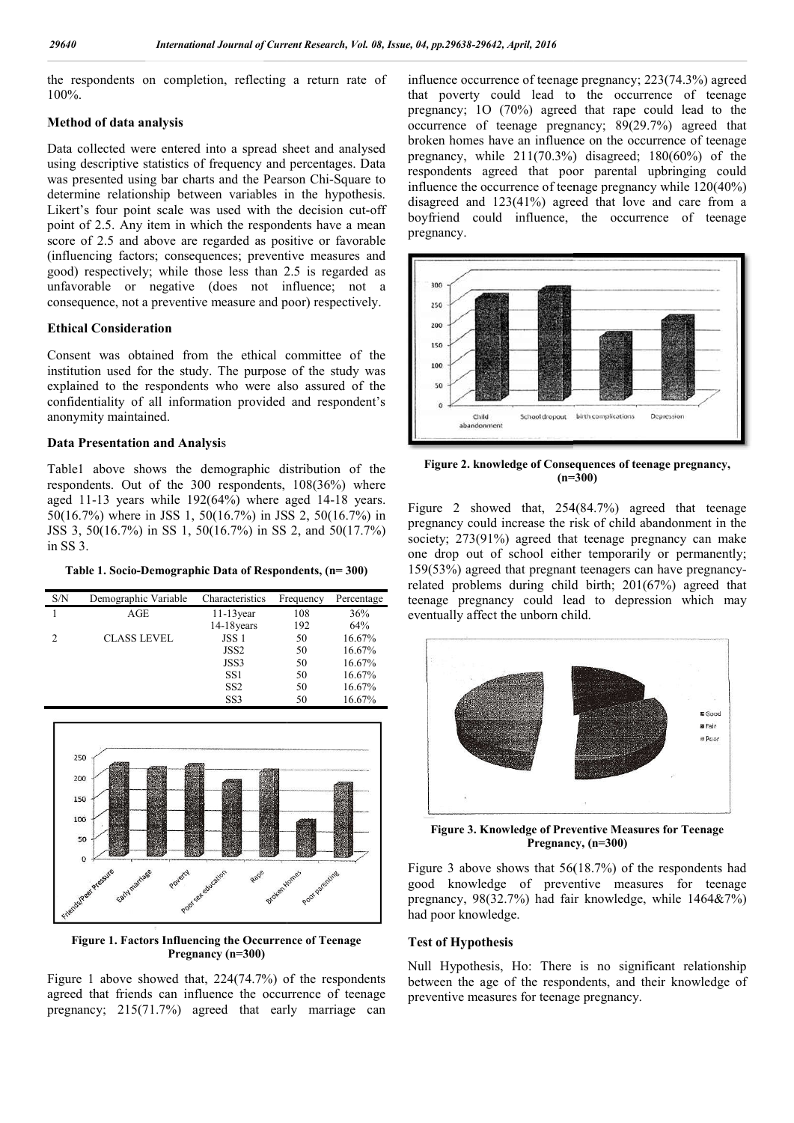the respondents on completion, reflecting a return rate of 100%.

#### **Method of data analysis**

Data collected were entered into a spread sheet and analysed using descriptive statistics of frequency and percentages. Data was presented using bar charts and the Pearson Chi-Square to determine relationship between variables in the hypothesis. Likert's four point scale was used with the decision cut-off point of 2.5. Any item in which the respondents have a mean score of 2.5 and above are regarded as positive or favorable (influencing factors; consequences; preventive measures and good) respectively; while those less than 2.5 is regarded as unfavorable or negative (does not influence; not a consequence, not a preventive measure and poor) respectively.

#### **Ethical Consideration**

Consent was obtained from the ethical committee of the institution used for the study. The purpose of the study was explained to the respondents who were also assured of the confidentiality of all information provided and respondent's anonymity maintained.

#### **Data Presentation and Analysi**s

Table1 above shows the demographic distribution of the respondents. Out of the 300 respondents, 108(36%) where aged  $11-13$  years while  $192(64%)$  where aged  $14-18$  years. 50(16.7%) where in JSS 1, 50(16.7%) in JSS 2, 50(16.7%) in JSS 3, 50(16.7%) in SS 1, 50(16.7%) in SS 2, and 50(17.7%) in SS 3.

**Table 1. Socio-Demographic Data of Respondents, (n=300)** 

| S/N | Demographic Variable | Characteristics | Frequency | Percentage |
|-----|----------------------|-----------------|-----------|------------|
|     | AGE                  | $11-13$ year    | 108       | 36%        |
|     |                      | 14-18 years     | 192       | 64%        |
| 2   | <b>CLASS LEVEL</b>   | JSS 1           | 50        | 16.67%     |
|     |                      | JSS2            | 50        | 16.67%     |
|     |                      | JSS3            | 50        | 16.67%     |
|     |                      | SS1             | 50        | 16.67%     |
|     |                      | SS <sub>2</sub> | 50        | 16.67%     |
|     |                      | SS <sub>3</sub> | 50        | 16.67%     |



**Figure 1. Factors Influencing the Occurrence of Teenage Pregnancy (n=300)**

Figure 1 above showed that, 224(74.7%) of the respondents agreed that friends can influence the occurrence of teenage pregnancy; 215(71.7%) agreed that early marriage can influence occurrence of teenage pregnancy; 223(74.3%) agreed that poverty could lead to the occurrence of teenage pregnancy; 1O (70%) agreed that rape could lead to the occurrence of teenage pregnancy; 89(29.7%) agreed that broken homes have an influence on the occurrence of teenage pregnancy, while  $211(70.3\%)$  disagreed;  $180(60\%)$  of the respondents agreed that poor parental upbringing could influence the occurrence of teenage pregnancy while 120(40%) disagreed and 123(41%) agreed that love and care from a boyfriend could influence, the occurrence of teenage pregnancy.



**Figure 2. knowledge of Consequences of teenage pregnancy, (n=300)**

Figure 2 showed that, 254(84.7%) agreed that teenage pregnancy could increase the risk of child abandonment in the society; 273(91%) agreed that teenage pregnancy can make one drop out of school either temporarily or permanently; 159(53%) agreed that pregnant teenagers can have pregnancy related problems during child birth;  $201(67%)$  agreed that teenage pregnancy could lead to depression which may eventually affect the unborn child.



**Figure 3. Knowledge of Preventive Measures for Teenage wledge Pregnancy, (n=300)** Pregnancy, (n=300)

Figure 3 above shows that 56(18.7%) of the respondents had good knowledge of preventive measures for teenage pregnancy,  $98(32.7%)$  had fair knowledge, while  $1464\&7\%$ ) had poor knowledge. we shows that 56(18.7%) of the respondents had<br>ledge of preventive measures for teenage<br>8(32.7%) had fair knowledge, while 1464&7%)<br>wledge.<br>**thesis**<br>esis, Ho: There is no significant relationship<br>age of the respondents, a

#### **Test of Hypothesis**

Null Hypothesis, Ho: There is no significant relationship between the age of the respondents, and their knowledge of preventive measures for teenage pregnancy.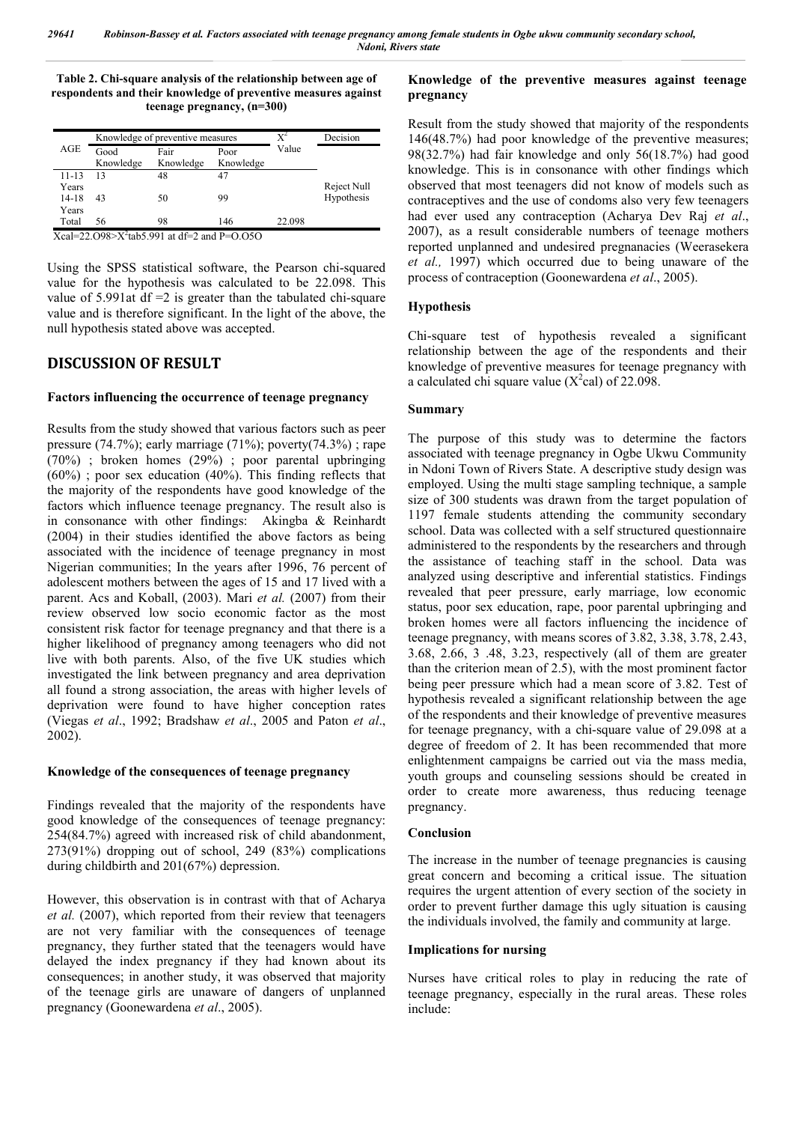**Table 2. Chi-square analysis of the relationship between age of respondents and their knowledge of preventive measures against teenage pregnancy, (n=300)**

|           | Knowledge of preventive measures |           |           | $X^2$  | Decision    |
|-----------|----------------------------------|-----------|-----------|--------|-------------|
| AGE       | Good                             | Fair      | Poor      | Value  |             |
|           | Knowledge                        | Knowledge | Knowledge |        |             |
| $11 - 13$ | 13                               | 48        | 47        |        |             |
| Years     |                                  |           |           |        | Reject Null |
| $14-18$   | 43                               | 50        | 99        |        | Hypothesis  |
| Years     |                                  |           |           |        |             |
| Total     | 56                               | 98        | 146       | 22.098 |             |

 $Xcal=22.098 > X^2$ tab5.991 at df=2 and P=0.050

Using the SPSS statistical software, the Pearson chi-squared value for the hypothesis was calculated to be 22.098. This value of 5.991at df  $=2$  is greater than the tabulated chi-square value and is therefore significant. In the light of the above, the null hypothesis stated above was accepted.

# **DISCUSSION OF RESULT**

#### **Factors influencing the occurrence of teenage pregnancy**

Results from the study showed that various factors such as peer pressure (74.7%); early marriage (71%); poverty(74.3%) ; rape (70%) ; broken homes (29%) ; poor parental upbringing (60%) ; poor sex education (40%). This finding reflects that the majority of the respondents have good knowledge of the factors which influence teenage pregnancy. The result also is in consonance with other findings: Akingba & Reinhardt (2004) in their studies identified the above factors as being associated with the incidence of teenage pregnancy in most Nigerian communities; In the years after 1996, 76 percent of adolescent mothers between the ages of 15 and 17 lived with a parent. Acs and Koball, (2003). Mari *et al.* (2007) from their review observed low socio economic factor as the most consistent risk factor for teenage pregnancy and that there is a higher likelihood of pregnancy among teenagers who did not live with both parents. Also, of the five UK studies which investigated the link between pregnancy and area deprivation all found a strong association, the areas with higher levels of deprivation were found to have higher conception rates (Viegas *et al*., 1992; Bradshaw *et al*., 2005 and Paton *et al*., 2002).

#### **Knowledge of the consequences of teenage pregnancy**

Findings revealed that the majority of the respondents have good knowledge of the consequences of teenage pregnancy: 254(84.7%) agreed with increased risk of child abandonment, 273(91%) dropping out of school, 249 (83%) complications during childbirth and 201(67%) depression.

However, this observation is in contrast with that of Acharya *et al.* (2007), which reported from their review that teenagers are not very familiar with the consequences of teenage pregnancy, they further stated that the teenagers would have delayed the index pregnancy if they had known about its consequences; in another study, it was observed that majority of the teenage girls are unaware of dangers of unplanned pregnancy (Goonewardena *et al*., 2005).

#### **Knowledge of the preventive measures against teenage pregnancy**

Result from the study showed that majority of the respondents 146(48.7%) had poor knowledge of the preventive measures; 98(32.7%) had fair knowledge and only 56(18.7%) had good knowledge. This is in consonance with other findings which observed that most teenagers did not know of models such as contraceptives and the use of condoms also very few teenagers had ever used any contraception (Acharya Dev Raj *et al*., 2007), as a result considerable numbers of teenage mothers reported unplanned and undesired pregnanacies (Weerasekera *et al.,* 1997) which occurred due to being unaware of the process of contraception (Goonewardena *et al*., 2005).

#### **Hypothesis**

Chi-square test of hypothesis revealed a significant relationship between the age of the respondents and their knowledge of preventive measures for teenage pregnancy with a calculated chi square value  $(X^2$ cal) of 22.098.

#### **Summary**

The purpose of this study was to determine the factors associated with teenage pregnancy in Ogbe Ukwu Community in Ndoni Town of Rivers State. A descriptive study design was employed. Using the multi stage sampling technique, a sample size of 300 students was drawn from the target population of 1197 female students attending the community secondary school. Data was collected with a self structured questionnaire administered to the respondents by the researchers and through the assistance of teaching staff in the school. Data was analyzed using descriptive and inferential statistics. Findings revealed that peer pressure, early marriage, low economic status, poor sex education, rape, poor parental upbringing and broken homes were all factors influencing the incidence of teenage pregnancy, with means scores of 3.82, 3.38, 3.78, 2.43, 3.68, 2.66, 3 .48, 3.23, respectively (all of them are greater than the criterion mean of 2.5), with the most prominent factor being peer pressure which had a mean score of 3.82. Test of hypothesis revealed a significant relationship between the age of the respondents and their knowledge of preventive measures for teenage pregnancy, with a chi-square value of 29.098 at a degree of freedom of 2. It has been recommended that more enlightenment campaigns be carried out via the mass media, youth groups and counseling sessions should be created in order to create more awareness, thus reducing teenage pregnancy.

#### **Conclusion**

The increase in the number of teenage pregnancies is causing great concern and becoming a critical issue. The situation requires the urgent attention of every section of the society in order to prevent further damage this ugly situation is causing the individuals involved, the family and community at large.

#### **Implications for nursing**

Nurses have critical roles to play in reducing the rate of teenage pregnancy, especially in the rural areas. These roles include: